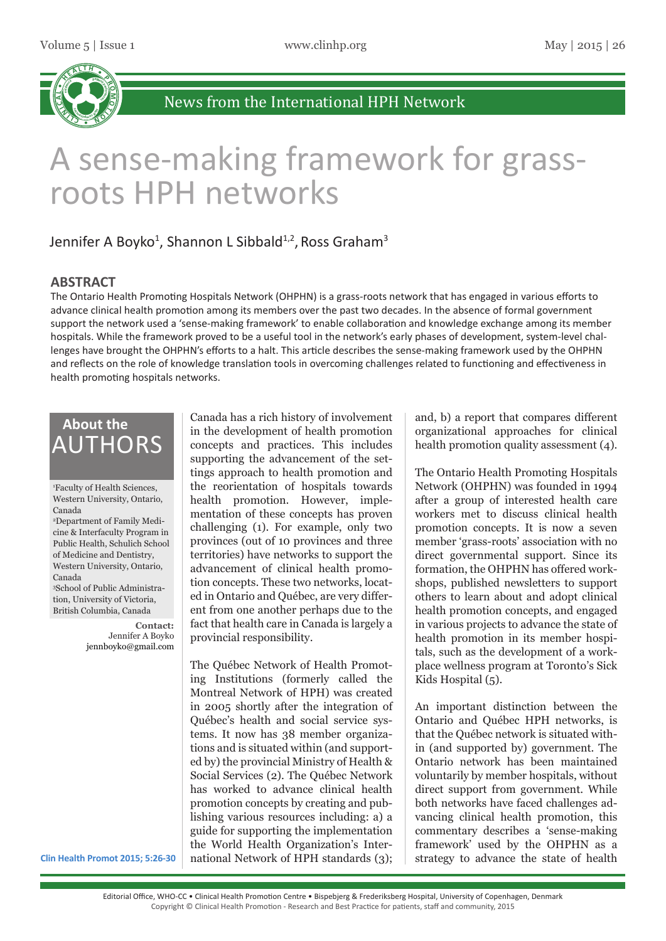

# A sense-making framework for grassroots HPH networks

## Jennifer A Boyko<sup>1</sup>, Shannon L Sibbald<sup>1,2</sup>, Ross Graham<sup>3</sup>

#### **ABSTRACT**

The Ontario Health Promoting Hospitals Network (OHPHN) is a grass-roots network that has engaged in various efforts to advance clinical health promotion among its members over the past two decades. In the absence of formal government support the network used a 'sense-making framework' to enable collaboration and knowledge exchange among its member hospitals. While the framework proved to be a useful tool in the network's early phases of development, system-level challenges have brought the OHPHN's efforts to a halt. This article describes the sense-making framework used by the OHPHN and reflects on the role of knowledge translation tools in overcoming challenges related to functioning and effectiveness in health promoting hospitals networks.

## **About the** AUTHORS

1 Faculty of Health Sciences, Western University, Ontario, Canada 2 Department of Family Medicine & Interfaculty Program in Public Health, Schulich School of Medicine and Dentistry, Western University, Ontario, Canada 3 School of Public Administration, University of Victoria, British Columbia, Canada

> **Contact:** Jennifer A Boyko jennboyko@gmail.com

Canada has a rich history of involvement in the development of health promotion concepts and practices. This includes supporting the advancement of the settings approach to health promotion and the reorientation of hospitals towards health promotion. However, implementation of these concepts has proven challenging (1). For example, only two provinces (out of 10 provinces and three territories) have networks to support the advancement of clinical health promotion concepts. These two networks, located in Ontario and Québec, are very different from one another perhaps due to the fact that health care in Canada is largely a provincial responsibility.

The Québec Network of Health Promoting Institutions (formerly called the Montreal Network of HPH) was created in 2005 shortly after the integration of Québec's health and social service systems. It now has 38 member organizations and is situated within (and supported by) the provincial Ministry of Health & Social Services (2). The Québec Network has worked to advance clinical health promotion concepts by creating and publishing various resources including: a) a guide for supporting the implementation the World Health Organization's International Network of HPH standards (3);

and, b) a report that compares different organizational approaches for clinical health promotion quality assessment (4).

The Ontario Health Promoting Hospitals Network (OHPHN) was founded in 1994 after a group of interested health care workers met to discuss clinical health promotion concepts. It is now a seven member 'grass-roots' association with no direct governmental support. Since its formation, the OHPHN has offered workshops, published newsletters to support others to learn about and adopt clinical health promotion concepts, and engaged in various projects to advance the state of health promotion in its member hospitals, such as the development of a workplace wellness program at Toronto's Sick Kids Hospital (5).

An important distinction between the Ontario and Québec HPH networks, is that the Québec network is situated within (and supported by) government. The Ontario network has been maintained voluntarily by member hospitals, without direct support from government. While both networks have faced challenges advancing clinical health promotion, this commentary describes a 'sense-making framework' used by the OHPHN as a strategy to advance the state of health

**Clin Health Promot 2015; 5:26-30**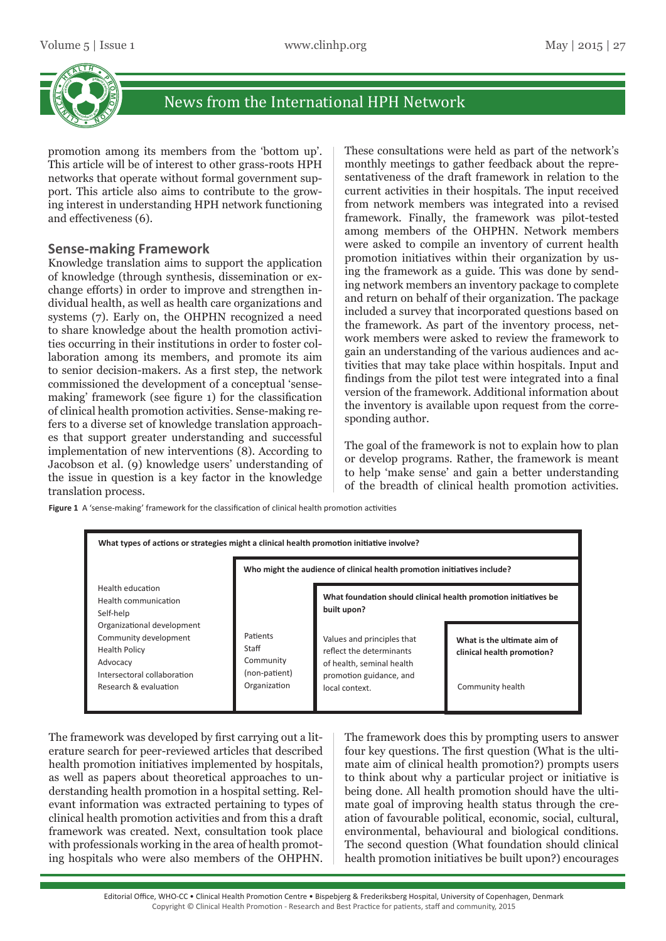

promotion among its members from the 'bottom up'. This article will be of interest to other grass-roots HPH networks that operate without formal government support. This article also aims to contribute to the growing interest in understanding HPH network functioning and effectiveness (6).

#### **Sense-making Framework**

Knowledge translation aims to support the application of knowledge (through synthesis, dissemination or exchange efforts) in order to improve and strengthen individual health, as well as health care organizations and systems (7). Early on, the OHPHN recognized a need to share knowledge about the health promotion activities occurring in their institutions in order to foster collaboration among its members, and promote its aim to senior decision-makers. As a first step, the network commissioned the development of a conceptual 'sensemaking' framework (see figure 1) for the classification of clinical health promotion activities. Sense-making refers to a diverse set of knowledge translation approaches that support greater understanding and successful implementation of new interventions (8). According to Jacobson et al. (9) knowledge users' understanding of the issue in question is a key factor in the knowledge translation process.

These consultations were held as part of the network's monthly meetings to gather feedback about the representativeness of the draft framework in relation to the current activities in their hospitals. The input received from network members was integrated into a revised framework. Finally, the framework was pilot-tested among members of the OHPHN. Network members were asked to compile an inventory of current health promotion initiatives within their organization by using the framework as a guide. This was done by sending network members an inventory package to complete and return on behalf of their organization. The package included a survey that incorporated questions based on the framework. As part of the inventory process, network members were asked to review the framework to gain an understanding of the various audiences and activities that may take place within hospitals. Input and findings from the pilot test were integrated into a final version of the framework. Additional information about the inventory is available upon request from the corresponding author.

The goal of the framework is not to explain how to plan or develop programs. Rather, the framework is meant to help 'make sense' and gain a better understanding of the breadth of clinical health promotion activities.

**Figure 1** A 'sense-making' framework for the classification of clinical health promotion activities



The framework was developed by first carrying out a literature search for peer-reviewed articles that described health promotion initiatives implemented by hospitals, as well as papers about theoretical approaches to understanding health promotion in a hospital setting. Relevant information was extracted pertaining to types of clinical health promotion activities and from this a draft framework was created. Next, consultation took place with professionals working in the area of health promoting hospitals who were also members of the OHPHN.

The framework does this by prompting users to answer four key questions. The first question (What is the ultimate aim of clinical health promotion?) prompts users to think about why a particular project or initiative is being done. All health promotion should have the ultimate goal of improving health status through the creation of favourable political, economic, social, cultural, environmental, behavioural and biological conditions. The second question (What foundation should clinical health promotion initiatives be built upon?) encourages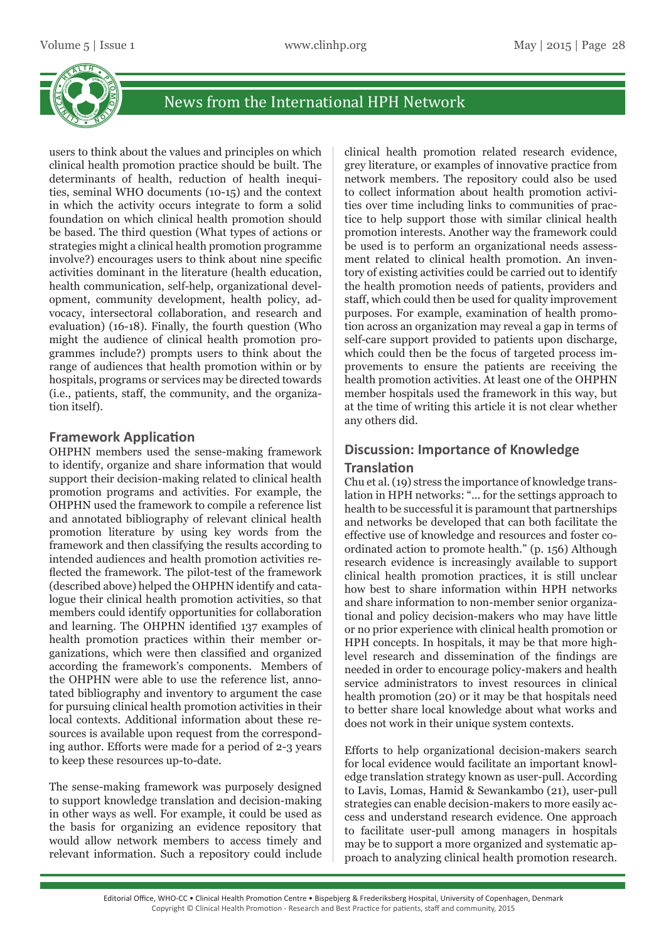

users to think about the values and principles on which clinical health promotion practice should be built. The determinants of health, reduction of health inequities, seminal WHO documents (10-15) and the context in which the activity occurs integrate to form a solid foundation on which clinical health promotion should be based. The third question (What types of actions or strategies might a clinical health promotion programme involve?) encourages users to think about nine specific activities dominant in the literature (health education, health communication, self-help, organizational development, community development, health policy, advocacy, intersectoral collaboration, and research and evaluation) (16-18). Finally, the fourth question (Who might the audience of clinical health promotion programmes include?) prompts users to think about the range of audiences that health promotion within or by hospitals, programs or services may be directed towards (i.e., patients, staff, the community, and the organization itself).

#### **Framework Application**

OHPHN members used the sense-making framework to identify, organize and share information that would support their decision-making related to clinical health promotion programs and activities. For example, the OHPHN used the framework to compile a reference list and annotated bibliography of relevant clinical health promotion literature by using key words from the framework and then classifying the results according to intended audiences and health promotion activities reflected the framework. The pilot-test of the framework (described above) helped the OHPHN identify and catalogue their clinical health promotion activities, so that members could identify opportunities for collaboration and learning. The OHPHN identified 137 examples of health promotion practices within their member organizations, which were then classified and organized according the framework's components. Members of the OHPHN were able to use the reference list, annotated bibliography and inventory to argument the case for pursuing clinical health promotion activities in their local contexts. Additional information about these resources is available upon request from the corresponding author. Efforts were made for a period of 2-3 years to keep these resources up-to-date.

The sense-making framework was purposely designed to support knowledge translation and decision-making in other ways as well. For example, it could be used as the basis for organizing an evidence repository that would allow network members to access timely and relevant information. Such a repository could include

clinical health promotion related research evidence, grey literature, or examples of innovative practice from network members. The repository could also be used to collect information about health promotion activities over time including links to communities of practice to help support those with similar clinical health promotion interests. Another way the framework could be used is to perform an organizational needs assessment related to clinical health promotion. An inventory of existing activities could be carried out to identify the health promotion needs of patients, providers and staff, which could then be used for quality improvement purposes. For example, examination of health promotion across an organization may reveal a gap in terms of self-care support provided to patients upon discharge, which could then be the focus of targeted process improvements to ensure the patients are receiving the health promotion activities. At least one of the OHPHN member hospitals used the framework in this way, but at the time of writing this article it is not clear whether any others did.

## **Discussion: Importance of Knowledge**

#### **Translation**

Chu et al. (19) stress the importance of knowledge translation in HPH networks: "... for the settings approach to health to be successful it is paramount that partnerships and networks be developed that can both facilitate the effective use of knowledge and resources and foster coordinated action to promote health." (p. 156) Although research evidence is increasingly available to support clinical health promotion practices, it is still unclear how best to share information within HPH networks and share information to non-member senior organizational and policy decision-makers who may have little or no prior experience with clinical health promotion or HPH concepts. In hospitals, it may be that more highlevel research and dissemination of the findings are needed in order to encourage policy-makers and health service administrators to invest resources in clinical health promotion (20) or it may be that hospitals need to better share local knowledge about what works and does not work in their unique system contexts.

Efforts to help organizational decision-makers search for local evidence would facilitate an important knowledge translation strategy known as user-pull. According to Lavis, Lomas, Hamid & Sewankambo (21), user-pull strategies can enable decision-makers to more easily access and understand research evidence. One approach to facilitate user-pull among managers in hospitals may be to support a more organized and systematic approach to analyzing clinical health promotion research.